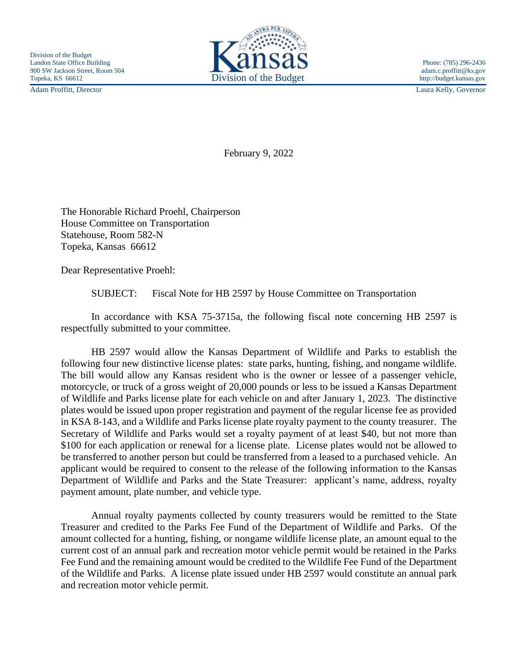

Adam Proffitt, Director Laura Kelly, Governor

February 9, 2022

The Honorable Richard Proehl, Chairperson House Committee on Transportation Statehouse, Room 582-N Topeka, Kansas 66612

Dear Representative Proehl:

SUBJECT: Fiscal Note for HB 2597 by House Committee on Transportation

In accordance with KSA 75-3715a, the following fiscal note concerning HB 2597 is respectfully submitted to your committee.

HB 2597 would allow the Kansas Department of Wildlife and Parks to establish the following four new distinctive license plates: state parks, hunting, fishing, and nongame wildlife. The bill would allow any Kansas resident who is the owner or lessee of a passenger vehicle, motorcycle, or truck of a gross weight of 20,000 pounds or less to be issued a Kansas Department of Wildlife and Parks license plate for each vehicle on and after January 1, 2023. The distinctive plates would be issued upon proper registration and payment of the regular license fee as provided in KSA 8-143, and a Wildlife and Parks license plate royalty payment to the county treasurer. The Secretary of Wildlife and Parks would set a royalty payment of at least \$40, but not more than \$100 for each application or renewal for a license plate. License plates would not be allowed to be transferred to another person but could be transferred from a leased to a purchased vehicle. An applicant would be required to consent to the release of the following information to the Kansas Department of Wildlife and Parks and the State Treasurer: applicant's name, address, royalty payment amount, plate number, and vehicle type.

Annual royalty payments collected by county treasurers would be remitted to the State Treasurer and credited to the Parks Fee Fund of the Department of Wildlife and Parks. Of the amount collected for a hunting, fishing, or nongame wildlife license plate, an amount equal to the current cost of an annual park and recreation motor vehicle permit would be retained in the Parks Fee Fund and the remaining amount would be credited to the Wildlife Fee Fund of the Department of the Wildlife and Parks. A license plate issued under HB 2597 would constitute an annual park and recreation motor vehicle permit.